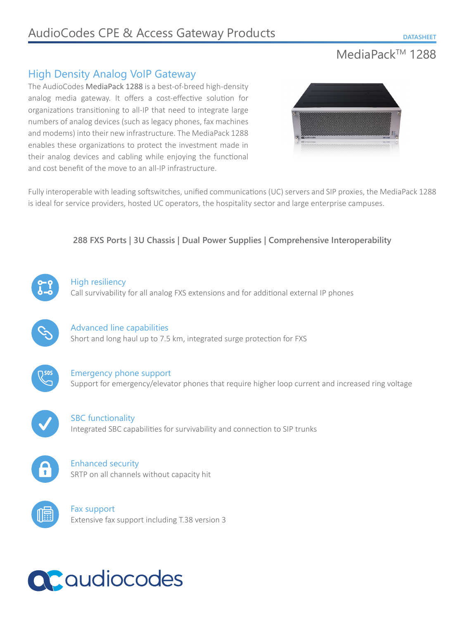## MediaPack™ 1288

## High Density Analog VoIP Gateway

The AudioCodes MediaPack 1288 is a best-of-breed high-density analog media gateway. It offers a cost-effective solution for organizations transitioning to all-IP that need to integrate large numbers of analog devices (such as legacy phones, fax machines and modems) into their new infrastructure. The MediaPack 1288 enables these organizations to protect the investment made in their analog devices and cabling while enjoying the functional and cost benefit of the move to an all-IP infrastructure.



Fully interoperable with leading softswitches, unified communications (UC) servers and SIP proxies, the MediaPack 1288 is ideal for service providers, hosted UC operators, the hospitality sector and large enterprise campuses.

## **288 FXS Ports | 3U Chassis | Dual Power Supplies | Comprehensive Interoperability**



#### High resiliency

Call survivability for all analog FXS extensions and for additional external IP phones



## Advanced line capabilities Short and long haul up to 7.5 km, integrated surge protection for FXS



Emergency phone support Support for emergency/elevator phones that require higher loop current and increased ring voltage

SBC functionality Integrated SBC capabilities for survivability and connection to SIP trunks



## Enhanced security SRTP on all channels without capacity hit



Fax support Extensive fax support including T.38 version 3

# QCqudiocodes